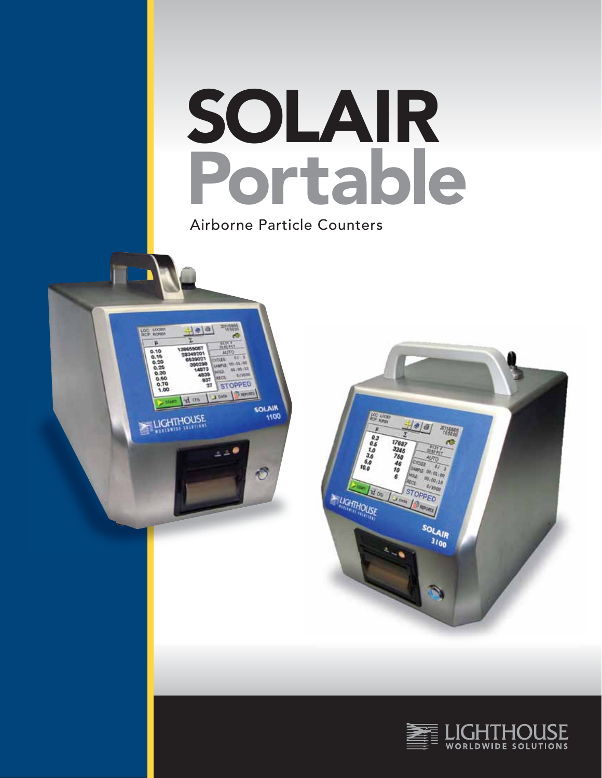

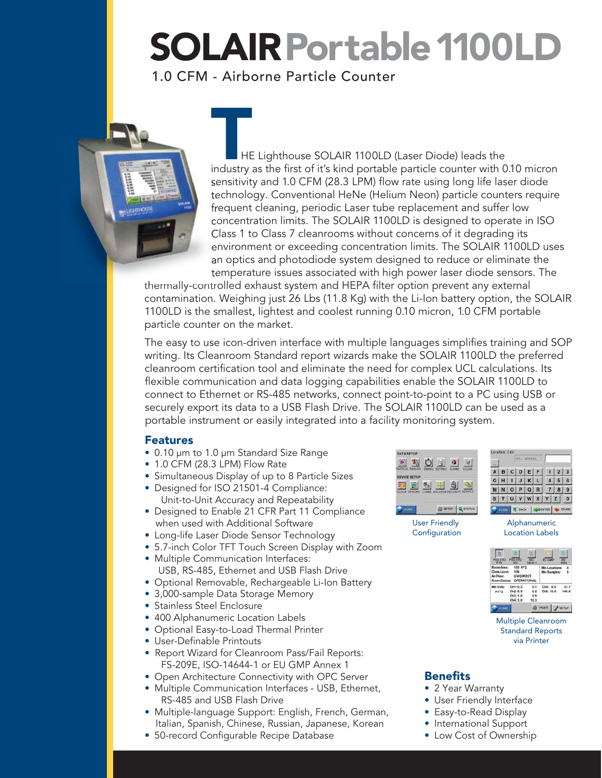### SOLAIR Portable 1100LD

### 1.0 CFM - Airborne Particle Counter



THE Lighthouse SOLAIR 1100LD (Laser Diode) leads the<br>industry as the first of it's kind portable particle counter with 0.10 micron sensitivity and 1.0 CFM (28.3 LPM) flow rate using long life laser diode technology. Conventional HeNe (Helium Neon) particle counters require frequent cleaning, periodic Laser tube replacement and suffer low concentration limits. The SOLAIR 1100LD is designed to operate in ISO Class 1 to Class 7 cleanrooms without concerns of it degrading its environment or exceeding concentration limits. The SOLAIR 1100LD uses an optics and photodiode system designed to reduce or eliminate the temperature issues associated with high power laser diode sensors. The

thermally-controlled exhaust system and HEPA filter option prevent any external contamination. Weighing just 26 Lbs (11.8 Kg) with the Li-Ion battery option, the SOLAIR 1100LD is the smallest, lightest and coolest running 0.10 micron, 1.0 CFM portable particle counter on the market.

The easy to use icon-driven interface with multiple languages simplifies training and SOP writing. Its Cleanroom Standard report wizards make the SOLAIR 1100LD the preferred cleanroom certification tool and eliminate the need for complex UCL calculations. Its flexible communication and data logging capabilities enable the SOLAIR 1100LD to connect to Ethernet or RS-485 networks, connect point-to-point to a PC using USB or securely export its data to a USB Flash Drive. The SOLAIR 1100LD can be used as a portable instrument or easily integrated into a facility monitoring system.

### Features

- 0.10 µm to 1.0 µm Standard Size Range
- 1.0 CFM (28.3 LPM) Flow Rate
- Simultaneous Display of up to 8 Particle Sizes
- Designed for ISO 21501-4 Compliance: Unit-to-Unit Accuracy and Repeatability
- Designed to Enable 21 CFR Part 11 Compliance when used with Additional Software
- Long-life Laser Diode Sensor Technology
- 5.7-inch Color TFT Touch Screen Display with Zoom
- Multiple Communication Interfaces: USB, RS-485, Ethernet and USB Flash Drive
- Optional Removable, Rechargeable Li-Ion Battery
- 3,000-sample Data Storage Memory
- Stainless Steel Enclosure
- 400 Alphanumeric Location Labels
- Optional Easy-to-Load Thermal Printer
- User-Definable Printouts
- Report Wizard for Cleanroom Pass/Fail Reports: FS-209E, ISO-14644-1 or EU GMP Annex 1
- Open Architecture Connectivity with OPC Server
- Multiple Communication Interfaces USB, Ethernet, RS-485 and USB Flash Drive
- Multiple-language Support: English, French, German, Italian, Spanish, Chinese, Russian, Japanese, Korean
- 50-record Configurable Recipe Database

| <b>DEVICE SETUP</b> |   |                  |        |
|---------------------|---|------------------|--------|
| m<br>×              | v | $\sim$<br>n<br>w | ٦<br>٠ |

User Friendly Configuration

|   |   |              |   | 01: LOC001 |   |  |   |
|---|---|--------------|---|------------|---|--|---|
|   | в | $\mathbf{c}$ | D | E<br>з     |   |  | s |
| G | н |              |   | κ          |   |  | 6 |
| Ν | N | $\mathbf{o}$ | ₽ | Q          | R |  |   |
|   |   |              |   |            |   |  | Ō |

Alphanumeric Location Labels



Multiple Cleanroom Standard Reports via Printer

### **Benefits**

- 2 Year Warranty
- User Friendly Interface
- Easy-to-Read Display
- International Support
- Low Cost of Ownership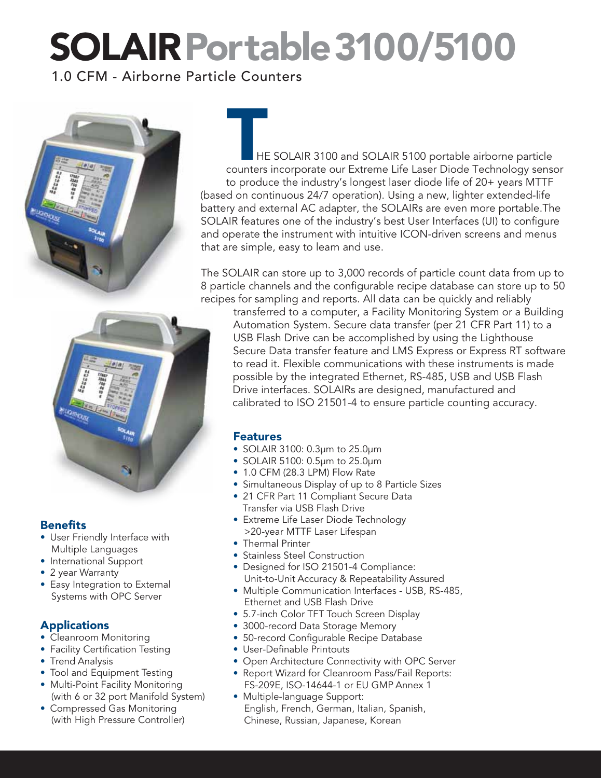## SOLAIRPortable3100/5100

1.0 CFM - Airborne Particle Counters



THE SOLAIR 3100 and SOLAIR 5100 portable airborne particle<br>
Counters incorporate our Extreme Life Laser Diode Technology sensor to produce the industry's longest laser diode life of 20+ years MTTF (based on continuous 24/7 operation). Using a new, lighter extended-life battery and external AC adapter, the SOLAIRs are even more portable.The SOLAIR features one of the industry's best User Interfaces (UI) to configure and operate the instrument with intuitive ICON-driven screens and menus that are simple, easy to learn and use.

The SOLAIR can store up to 3,000 records of particle count data from up to 8 particle channels and the configurable recipe database can store up to 50 recipes for sampling and reports. All data can be quickly and reliably



### **Benefits**

- User Friendly Interface with Multiple Languages
- International Support
- 2 year Warranty
- Easy Integration to External Systems with OPC Server

### **Applications**

- Cleanroom Monitoring
- Facility Certification Testing
- Trend Analysis
- Tool and Equipment Testing
- Multi-Point Facility Monitoring (with 6 or 32 port Manifold System)
- Compressed Gas Monitoring (with High Pressure Controller)

transferred to a computer, a Facility Monitoring System or a Building Automation System. Secure data transfer (per 21 CFR Part 11) to a USB Flash Drive can be accomplished by using the Lighthouse Secure Data transfer feature and LMS Express or Express RT software to read it. Flexible communications with these instruments is made possible by the integrated Ethernet, RS-485, USB and USB Flash Drive interfaces. SOLAIRs are designed, manufactured and calibrated to ISO 21501-4 to ensure particle counting accuracy.

### Features

- SOLAIR 3100: 0.3µm to 25.0µm
- SOLAIR 5100: 0.5µm to 25.0µm
- 1.0 CFM (28.3 LPM) Flow Rate
- Simultaneous Display of up to 8 Particle Sizes
- 21 CFR Part 11 Compliant Secure Data Transfer via USB Flash Drive
- Extreme Life Laser Diode Technology >20-year MTTF Laser Lifespan
- Thermal Printer
- Stainless Steel Construction
- Designed for ISO 21501-4 Compliance: Unit-to-Unit Accuracy & Repeatability Assured
- Multiple Communication Interfaces USB, RS-485, Ethernet and USB Flash Drive
- 5.7-inch Color TFT Touch Screen Display
- 3000-record Data Storage Memory
- 50-record Configurable Recipe Database
- User-Definable Printouts
- Open Architecture Connectivity with OPC Server
- Report Wizard for Cleanroom Pass/Fail Reports: FS-209E, ISO-14644-1 or EU GMP Annex 1
- Multiple-language Support: English, French, German, Italian, Spanish, Chinese, Russian, Japanese, Korean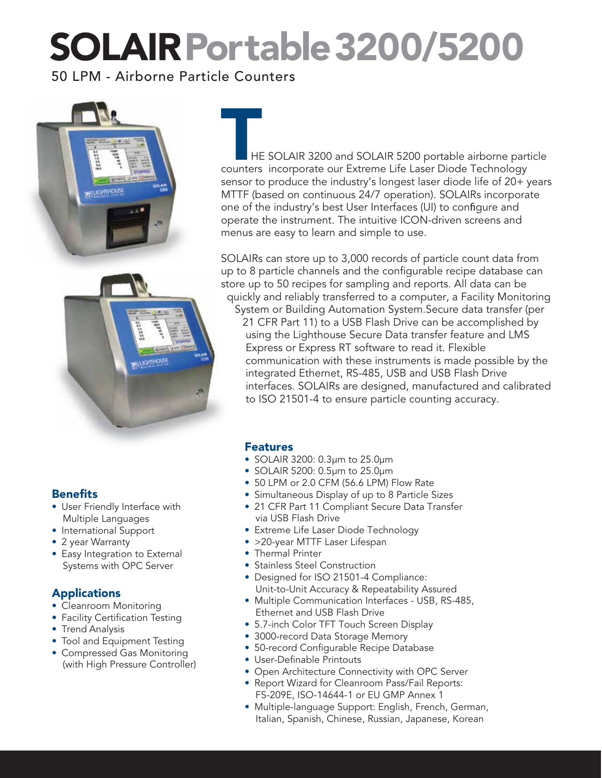## SOLAIRPortable3200/5200

50 LPM - Airborne Particle Counters





HE SOLAIR 3200 and SOLAIR 5200 portable airborne particle counters incorporate our Extreme Life Laser Diode Technology sensor to produce the industry's longest laser diode life of 20+ years MTTF (based on continuous 24/7 operation). SOLAIRs incorporate one of the industry's best User Interfaces (UI) to configure and operate the instrument. The intuitive ICON-driven screens and menus are easy to learn and simple to use.

SOLAIRs can store up to 3,000 records of particle count data from up to 8 particle channels and the configurable recipe database can store up to 50 recipes for sampling and reports. All data can be quickly and reliably transferred to a computer, a Facility Monitoring

System or Building Automation System.Secure data transfer (per 21 CFR Part 11) to a USB Flash Drive can be accomplished by using the Lighthouse Secure Data transfer feature and LMS Express or Express RT software to read it. Flexible communication with these instruments is made possible by the integrated Ethernet, RS-485, USB and USB Flash Drive interfaces. SOLAIRs are designed, manufactured and calibrated to ISO 21501-4 to ensure particle counting accuracy.

### Features

- SOLAIR 3200: 0.3µm to 25.0µm
- SOLAIR 5200: 0.5µm to 25.0µm
- 50 LPM or 2.0 CFM (56.6 LPM) Flow Rate
- Simultaneous Display of up to 8 Particle Sizes
- 21 CFR Part 11 Compliant Secure Data Transfer via USB Flash Drive
- Extreme Life Laser Diode Technology
- >20-year MTTF Laser Lifespan
- Thermal Printer
- Stainless Steel Construction
- Designed for ISO 21501-4 Compliance: Unit-to-Unit Accuracy & Repeatability Assured
- Multiple Communication Interfaces USB, RS-485, Ethernet and USB Flash Drive
- 5.7-inch Color TFT Touch Screen Display
- 3000-record Data Storage Memory
- 50-record Configurable Recipe Database
- User-Definable Printouts
- Open Architecture Connectivity with OPC Server
- Report Wizard for Cleanroom Pass/Fail Reports: FS-209E, ISO-14644-1 or EU GMP Annex 1
- Multiple-language Support: English, French, German, Italian, Spanish, Chinese, Russian, Japanese, Korean

### Benefits

- User Friendly Interface with Multiple Languages
- International Support
- 2 year Warranty
- Easy Integration to External Systems with OPC Server

### Applications

- Cleanroom Monitoring
- Facility Certification Testing
- Trend Analysis
- Tool and Equipment Testing
- Compressed Gas Monitoring (with High Pressure Controller)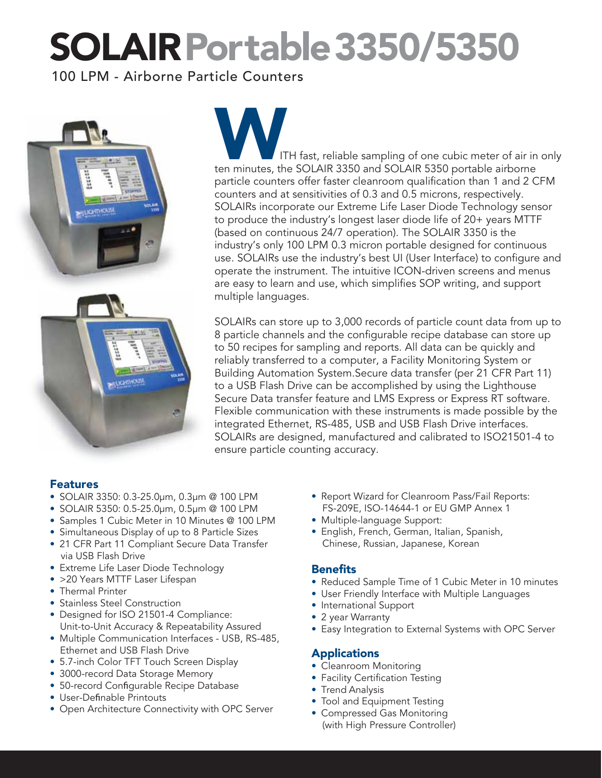## SOLAIRPortable3350/5350

100 LPM - Airborne Particle Counters





ITH fast, reliable sampling of one cubic meter of air in only ten minutes, the SOLAIR 3350 and SOLAIR 5350 portable airborne particle counters offer faster cleanroom qualification than 1 and 2 CFM counters and at sensitivities of 0.3 and 0.5 microns, respectively. SOLAIRs incorporate our Extreme Life Laser Diode Technology sensor to produce the industry's longest laser diode life of 20+ years MTTF (based on continuous 24/7 operation). The SOLAIR 3350 is the industry's only 100 LPM 0.3 micron portable designed for continuous use. SOLAIRs use the industry's best UI (User Interface) to configure and operate the instrument. The intuitive ICON-driven screens and menus are easy to learn and use, which simplifies SOP writing, and support multiple languages.

SOLAIRs can store up to 3,000 records of particle count data from up to 8 particle channels and the configurable recipe database can store up to 50 recipes for sampling and reports. All data can be quickly and reliably transferred to a computer, a Facility Monitoring System or Building Automation System.Secure data transfer (per 21 CFR Part 11) to a USB Flash Drive can be accomplished by using the Lighthouse Secure Data transfer feature and LMS Express or Express RT software. Flexible communication with these instruments is made possible by the integrated Ethernet, RS-485, USB and USB Flash Drive interfaces. SOLAIRs are designed, manufactured and calibrated to ISO21501-4 to ensure particle counting accuracy.

### **Features**

- SOLAIR 3350: 0.3-25.0µm, 0.3µm @ 100 LPM
- SOLAIR 5350: 0.5-25.0µm, 0.5µm @ 100 LPM
- Samples 1 Cubic Meter in 10 Minutes @ 100 LPM
- Simultaneous Display of up to 8 Particle Sizes
- 21 CFR Part 11 Compliant Secure Data Transfer via USB Flash Drive
- Extreme Life Laser Diode Technology
- >20 Years MTTF Laser Lifespan
- Thermal Printer
- Stainless Steel Construction
- Designed for ISO 21501-4 Compliance: Unit-to-Unit Accuracy & Repeatability Assured
- Multiple Communication Interfaces USB, RS-485, Ethernet and USB Flash Drive
- 5.7-inch Color TFT Touch Screen Display
- 3000-record Data Storage Memory
- 50-record Configurable Recipe Database
- User-Definable Printouts
- Open Architecture Connectivity with OPC Server
- Report Wizard for Cleanroom Pass/Fail Reports: FS-209E, ISO-14644-1 or EU GMP Annex 1
- Multiple-language Support:
- English, French, German, Italian, Spanish, Chinese, Russian, Japanese, Korean

### **Benefits**

- Reduced Sample Time of 1 Cubic Meter in 10 minutes
- User Friendly Interface with Multiple Languages
- International Support
- 2 year Warranty
- Easy Integration to External Systems with OPC Server

### Applications

- Cleanroom Monitoring
- Facility Certification Testing
- Trend Analysis
- Tool and Equipment Testing
- Compressed Gas Monitoring (with High Pressure Controller)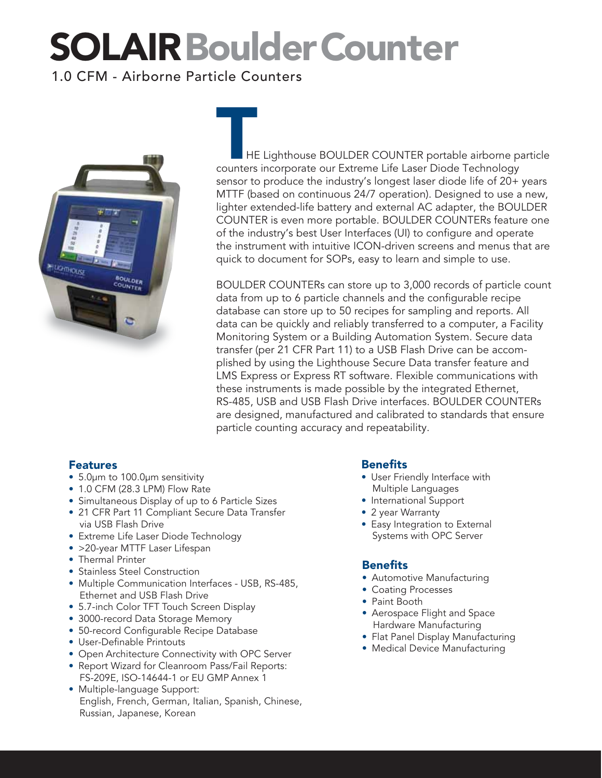### SOLAIRBoulderCounter

### 1.0 CFM - Airborne Particle Counters



HE Lighthouse BOULDER COUNTER portable airborne particle counters incorporate our Extreme Life Laser Diode Technology sensor to produce the industry's longest laser diode life of 20+ years MTTF (based on continuous 24/7 operation). Designed to use a new, lighter extended-life battery and external AC adapter, the BOULDER COUNTER is even more portable. BOULDER COUNTERs feature one of the industry's best User Interfaces (UI) to configure and operate the instrument with intuitive ICON-driven screens and menus that are quick to document for SOPs, easy to learn and simple to use.

BOULDER COUNTERs can store up to 3,000 records of particle count data from up to 6 particle channels and the configurable recipe database can store up to 50 recipes for sampling and reports. All data can be quickly and reliably transferred to a computer, a Facility Monitoring System or a Building Automation System. Secure data transfer (per 21 CFR Part 11) to a USB Flash Drive can be accomplished by using the Lighthouse Secure Data transfer feature and LMS Express or Express RT software. Flexible communications with these instruments is made possible by the integrated Ethernet, RS-485, USB and USB Flash Drive interfaces. BOULDER COUNTERs are designed, manufactured and calibrated to standards that ensure particle counting accuracy and repeatability.

### Features

- 5.0µm to 100.0µm sensitivity
- 1.0 CFM (28.3 LPM) Flow Rate
- Simultaneous Display of up to 6 Particle Sizes
- 21 CFR Part 11 Compliant Secure Data Transfer via USB Flash Drive
- Extreme Life Laser Diode Technology
- > 20-year MTTF Laser Lifespan
- Thermal Printer
- Stainless Steel Construction
- Multiple Communication Interfaces USB, RS-485, Ethernet and USB Flash Drive
- 5.7-inch Color TFT Touch Screen Display
- 3000-record Data Storage Memory
- 50-record Configurable Recipe Database
- User-Definable Printouts
- Open Architecture Connectivity with OPC Server
- Report Wizard for Cleanroom Pass/Fail Reports: FS-209E, ISO-14644-1 or EU GMP Annex 1
- Multiple-language Support: English, French, German, Italian, Spanish, Chinese, Russian, Japanese, Korean

### **Benefits**

- User Friendly Interface with Multiple Languages
- International Support
- 2 year Warranty
- Easy Integration to External Systems with OPC Server

### Benefits

- Automotive Manufacturing
- Coating Processes
- Paint Booth
- Aerospace Flight and Space Hardware Manufacturing
- Flat Panel Display Manufacturing
- Medical Device Manufacturing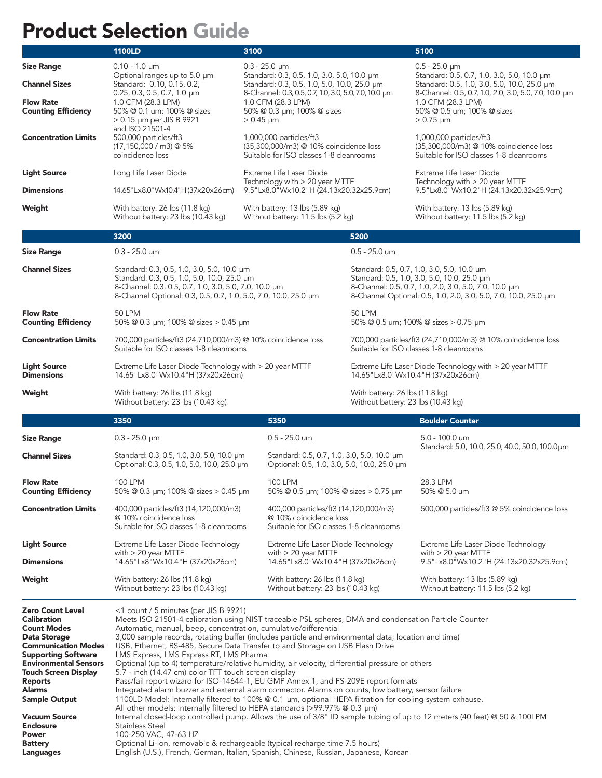### Product Selection Guide

|                                                | <b>1100LD</b>                                                                                                                                                                                                         | 3100                                                                                                                        |                                                                      | 5100                                                                                                                                                                                                                  |  |  |
|------------------------------------------------|-----------------------------------------------------------------------------------------------------------------------------------------------------------------------------------------------------------------------|-----------------------------------------------------------------------------------------------------------------------------|----------------------------------------------------------------------|-----------------------------------------------------------------------------------------------------------------------------------------------------------------------------------------------------------------------|--|--|
| <b>Size Range</b>                              | $0.10 - 1.0 \mu m$                                                                                                                                                                                                    | $0.3 - 25.0 \mu m$                                                                                                          |                                                                      | $0.5 - 25.0 \mu m$                                                                                                                                                                                                    |  |  |
| <b>Channel Sizes</b>                           | Optional ranges up to 5.0 µm<br>Standard: 0.10, 0.15, 0.2,                                                                                                                                                            | Standard: 0.3, 0.5, 1.0, 3.0, 5.0, 10.0 µm<br>Standard: 0.3, 0.5, 1.0, 5.0, 10.0, 25.0 µm                                   |                                                                      | Standard: 0.5, 0.7, 1.0, 3.0, 5.0, 10.0 µm<br>Standard: 0.5, 1.0, 3.0, 5.0, 10.0, 25.0 µm<br>8-Channel: 0.5, 0.7, 1.0, 2.0, 3.0, 5.0, 7.0, 10.0 µm<br>1.0 CFM (28.3 LPM)<br>50% @ 0.5 um; 100% @ sizes<br>$> 0.75$ µm |  |  |
| <b>Flow Rate</b><br><b>Counting Efficiency</b> | 0.25, 0.3, 0.5, 0.7, 1.0 µm<br>1.0 CFM (28.3 LPM)<br>50% @ 0.1 um: 100% @ sizes<br>$> 0.15$ µm per JIS B 9921                                                                                                         | 8-Channel: 0.3, 0.5, 0.7, 1.0, 3.0, 5.0, 7.0, 10.0 µm<br>1.0 CFM (28.3 LPM)<br>50% @ 0.3 µm; 100% @ sizes<br>$> 0.45 \mu m$ |                                                                      |                                                                                                                                                                                                                       |  |  |
| <b>Concentration Limits</b>                    | and ISO 21501-4<br>500,000 particles/ft3<br>$(17, 150, 000 / m3)$ @ 5%<br>coincidence loss                                                                                                                            | 1,000,000 particles/ft3<br>(35,300,000/m3) @ 10% coincidence loss<br>Suitable for ISO classes 1-8 cleanrooms                |                                                                      | 1,000,000 particles/ft3<br>(35,300,000/m3) @ 10% coincidence loss<br>Suitable for ISO classes 1-8 cleanrooms                                                                                                          |  |  |
| <b>Light Source</b>                            | Long Life Laser Diode                                                                                                                                                                                                 | Extreme Life Laser Diode                                                                                                    |                                                                      | Extreme Life Laser Diode                                                                                                                                                                                              |  |  |
| <b>Dimensions</b>                              | 14.65"Lx8.0"Wx10.4"H (37x20x26cm)                                                                                                                                                                                     | Technology with > 20 year MTTF<br>9.5"Lx8.0"Wx10.2"H (24.13x20.32x25.9cm)                                                   |                                                                      | Technology with > 20 year MTTF<br>9.5"Lx8.0"Wx10.2"H (24.13x20.32x25.9cm)                                                                                                                                             |  |  |
| Weight                                         | With battery: 26 lbs (11.8 kg)<br>Without battery: 23 lbs (10.43 kg)                                                                                                                                                  | With battery: 13 lbs (5.89 kg)<br>Without battery: 11.5 lbs (5.2 kg)                                                        |                                                                      | With battery: 13 lbs (5.89 kg)<br>Without battery: 11.5 lbs (5.2 kg)                                                                                                                                                  |  |  |
|                                                | 3200                                                                                                                                                                                                                  |                                                                                                                             | 5200                                                                 |                                                                                                                                                                                                                       |  |  |
| <b>Size Range</b>                              | $0.3 - 25.0$ um                                                                                                                                                                                                       |                                                                                                                             | $0.5 - 25.0$ um                                                      |                                                                                                                                                                                                                       |  |  |
| <b>Channel Sizes</b>                           | Standard: 0.3, 0.5, 1.0, 3.0, 5.0, 10.0 µm<br>Standard: 0.3, 0.5, 1.0, 5.0, 10.0, 25.0 µm<br>8-Channel: 0.3, 0.5, 0.7, 1.0, 3.0, 5.0, 7.0, 10.0 µm<br>8-Channel Optional: 0.3, 0.5, 0.7, 1.0, 5.0, 7.0, 10.0, 25.0 µm |                                                                                                                             |                                                                      | Standard: 0.5, 0.7, 1.0, 3.0, 5.0, 10.0 µm<br>Standard: 0.5, 1.0, 3.0, 5.0, 10.0, 25.0 µm<br>8-Channel: 0.5, 0.7, 1.0, 2.0, 3.0, 5.0, 7.0, 10.0 µm<br>8-Channel Optional: 0.5, 1.0, 2.0, 3.0, 5.0, 7.0, 10.0, 25.0 µm |  |  |
| <b>Flow Rate</b><br><b>Counting Efficiency</b> | <b>50 LPM</b><br>50% @ 0.3 µm; 100% @ sizes > 0.45 µm                                                                                                                                                                 |                                                                                                                             | 50 LPM                                                               | 50% @ 0.5 um; 100% @ sizes > 0.75 um                                                                                                                                                                                  |  |  |
| <b>Concentration Limits</b>                    | 700,000 particles/ft3 (24,710,000/m3) @ 10% coincidence loss<br>Suitable for ISO classes 1-8 cleanrooms                                                                                                               |                                                                                                                             |                                                                      | 700,000 particles/ft3 (24,710,000/m3) @ 10% coincidence loss<br>Suitable for ISO classes 1-8 cleanrooms                                                                                                               |  |  |
| <b>Light Source</b><br><b>Dimensions</b>       | Extreme Life Laser Diode Technology with > 20 year MTTF<br>14.65"Lx8.0"Wx10.4"H (37x20x26cm)                                                                                                                          |                                                                                                                             |                                                                      | Extreme Life Laser Diode Technology with > 20 year MTTF<br>14.65"Lx8.0"Wx10.4"H (37x20x26cm)                                                                                                                          |  |  |
| Weight                                         | With battery: 26 lbs (11.8 kg)<br>Without battery: 23 lbs (10.43 kg)                                                                                                                                                  |                                                                                                                             | With battery: 26 lbs (11.8 kg)<br>Without battery: 23 lbs (10.43 kg) |                                                                                                                                                                                                                       |  |  |
|                                                |                                                                                                                                                                                                                       |                                                                                                                             |                                                                      |                                                                                                                                                                                                                       |  |  |
|                                                | 3350                                                                                                                                                                                                                  | 5350                                                                                                                        |                                                                      | <b>Boulder Counter</b>                                                                                                                                                                                                |  |  |
| <b>Size Range</b>                              | $0.3 - 25.0 \mu m$                                                                                                                                                                                                    | 0.5 - 25.0 um                                                                                                               |                                                                      | 5.0 - 100.0 um                                                                                                                                                                                                        |  |  |
| <b>Channel Sizes</b>                           | Standard: 0.3, 0.5, 1.0, 3.0, 5.0, 10.0 µm<br>Optional: 0.3, 0.5, 1.0, 5.0, 10.0, 25.0 µm                                                                                                                             | Standard: 0.5, 0.7, 1.0, 3.0, 5.0, 10.0 µm<br>Optional: 0.5, 1.0, 3.0, 5.0, 10.0, 25.0 µm                                   |                                                                      | Standard: 5.0, 10.0, 25.0, 40.0, 50.0, 100.0µm                                                                                                                                                                        |  |  |
| <b>Flow Rate</b><br><b>Counting Efficiency</b> | 100 LPM<br>50% @ 0.3 µm; 100% @ sizes > 0.45 µm                                                                                                                                                                       | 100 LPM<br>50% @ 0.5 $\mu$ m; 100% @ sizes > 0.75 $\mu$ m                                                                   |                                                                      | 28.3 LPM<br>50% @ 5.0 um                                                                                                                                                                                              |  |  |
| <b>Concentration Limits</b>                    | 400,000 particles/ft3 (14,120,000/m3)<br>@ 10% coincidence loss<br>Suitable for ISO classes 1-8 cleanrooms                                                                                                            | 400,000 particles/ft3 (14,120,000/m3)<br>@ 10% coincidence loss<br>Suitable for ISO classes 1-8 cleanrooms                  |                                                                      | 500,000 particles/ft3 @ 5% coincidence loss                                                                                                                                                                           |  |  |
| <b>Light Source</b>                            | Extreme Life Laser Diode Technology                                                                                                                                                                                   | Extreme Life Laser Diode Technology                                                                                         |                                                                      | Extreme Life Laser Diode Technology                                                                                                                                                                                   |  |  |
| <b>Dimensions</b>                              | with $> 20$ year MTTF<br>14.65"Lx8"Wx10.4"H (37x20x26cm)                                                                                                                                                              | with $> 20$ year MTTF<br>14.65"Lx8.0"Wx10.4"H (37x20x26cm)                                                                  |                                                                      | with $> 20$ year MTTF<br>9.5"Lx8.0"Wx10.2"H (24.13x20.32x25.9cm)                                                                                                                                                      |  |  |
| Weight                                         | With battery: 26 lbs (11.8 kg)<br>Without battery: 23 lbs (10.43 kg)                                                                                                                                                  | With battery: 26 lbs (11.8 kg)<br>Without battery: 23 lbs (10.43 kg)                                                        |                                                                      | With battery: 13 lbs (5.89 kg)<br>Without battery: 11.5 lbs (5.2 kg)                                                                                                                                                  |  |  |